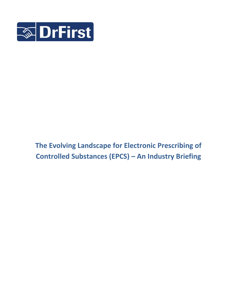

# **The Evolving Landscape for Electronic Prescribing of Controlled Substances (EPCS) – An Industry Briefing**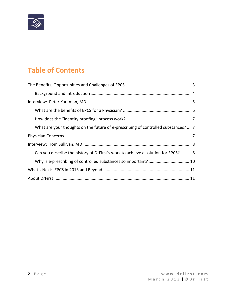

# **Table of Contents**

| What are your thoughts on the future of e-prescribing of controlled substances?  7 |
|------------------------------------------------------------------------------------|
|                                                                                    |
|                                                                                    |
|                                                                                    |
| Can you describe the history of DrFirst's work to achieve a solution for EPCS? 8   |
|                                                                                    |
|                                                                                    |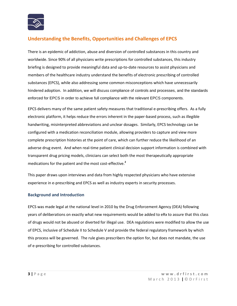

# **Understanding the Benefits, Opportunities and Challenges of EPCS**

There is an epidemic of addiction, abuse and diversion of controlled substances in this country and worldwide. Since 90% of all physicians write prescriptions for controlled substances, this industry briefing is designed to provide meaningful data and up-to-date resources to assist physicians and members of the healthcare industry understand the benefits of electronic prescribing of controlled substances (EPCS), while also addressing some common misconceptions which have unnecessarily hindered adoption. In addition, we will discuss compliance of controls and processes, and the standards enforced for EPCS in order to achieve full compliance with the relevant EPCS components.

EPCS delivers many of the same patient safety measures that traditional e-prescribing offers. As a fully electronic platform, it helps reduce the errors inherent in the paper-based process, such as illegible handwriting, misinterpreted abbreviations and unclear dosages. Similarly, EPCS technology can be configured with a medication reconciliation module, allowing providers to capture and view more complete prescription histories at the point of care, which can further reduce the likelihood of an adverse drug event. And when real-time patient clinical decision support information is combined with transparent drug pricing models, clinicians can select both the most therapeutically appropriate medications for the patient and the most cost-effective.**<sup>2</sup>**

This paper draws upon interviews and data from highly respected physicians who have extensive experience in e-prescribing and EPCS as well as industry experts in security processes.

### **Background and Introduction**

EPCS was made legal at the national level in 2010 by the Drug Enforcement Agency (DEA) following years of deliberations on exactly what new requirements would be added to eRx to assure that this class of drugs would not be abused or diverted for illegal use. DEA regulations were modified to allow the use of EPCS, inclusive of Schedule II to Schedule V and provide the federal regulatory framework by which this process will be governed. The rule gives prescribers the option for, but does not mandate, the use of e-prescribing for controlled substances.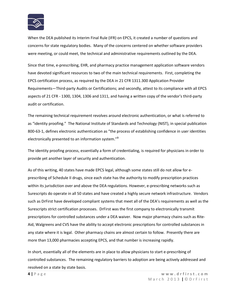

When the DEA published its Interim Final Rule (IFR) on EPCS, it created a number of questions and concerns for state regulatory bodies. Many of the concerns centered on whether software providers were meeting, or could meet, the technical and administrative requirements outlined by the DEA.

Since that time, e-prescribing, EHR, and pharmacy practice management application software vendors have devoted significant resources to two of the main technical requirements. First, completing the EPCS certification process, as required by the DEA in 21 CFR 1311.300 Application Provider Requirements—Third-party Audits or Certifications; and secondly, attest to its compliance with all EPCS aspects of 21 CFR - 1300, 1304, 1306 and 1311, and having a written copy of the vendor's third-party audit or certification.

The remaining technical requirement revolves around electronic authentication, or what is referred to as "identity proofing." The National Institute of Standards and Technology (NIST), in special publication 800-63-1, defines electronic authentication as "the process of establishing confidence in user identities electronically presented to an information system."**<sup>3</sup>**

The identity proofing process, essentially a form of credentialing, is required for physicians in order to provide yet another layer of security and authentication.

As of this writing, 40 states have made EPCS legal, although some states still do not allow for eprescribing of Schedule II drugs, since each state has the authority to modify prescription practices within its jurisdiction over and above the DEA regulations. However, e-prescribing networks such as Surescripts do operate in all 50 states and have created a highly secure network infrastructure. Vendors such as DrFirst have developed compliant systems that meet all of the DEA's requirements as well as the Surescripts strict certification processes. DrFirst was the first company to electronically transmit prescriptions for controlled substances under a DEA waiver. Now major pharmacy chains such as Rite-Aid, Walgreens and CVS have the ability to accept electronic prescriptions for controlled substances in any state where it is legal. Other pharmacy chains are almost certain to follow. Presently there are more than 13,000 pharmacies accepting EPCS, and that number is increasing rapidly.

In short, essentially all of the elements are in place to allow physicians to start e-prescribing of controlled substances. The remaining regulatory barriers to adoption are being actively addressed and resolved on a state by state basis.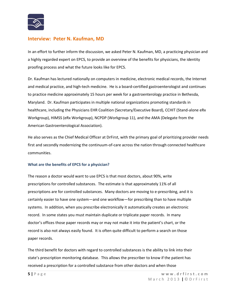

## **Interview: Peter N. Kaufman, MD**

In an effort to further inform the discussion, we asked Peter N. Kaufman, MD, a practicing physician and a highly regarded expert on EPCS, to provide an overview of the benefits for physicians, the identity proofing process and what the future looks like for EPCS.

Dr. Kaufman has lectured nationally on computers in medicine, electronic medical records, the Internet and medical practice, and high-tech medicine. He is a board-certified gastroenterologist and continues to practice medicine approximately 15 hours per week for a gastroenterology practice in Bethesda, Maryland. Dr. Kaufman participates in multiple national organizations promoting standards in healthcare, including the Physicians EHR Coalition (Secretary/Executive Board), CCHIT (Stand-alone eRx Workgroup), HIMSS (eRx Workgroup), NCPDP (Workgroup 11), and the AMA (Delegate from the American Gastroenterological Association).

He also serves as the Chief Medical Officer at DrFirst, with the primary goal of prioritizing provider needs first and secondly modernizing the continuum-of-care across the nation through connected healthcare communities.

### **What are the benefits of EPCS for a physician?**

The reason a doctor would want to use EPCS is that most doctors, about 90%, write prescriptions for controlled substances. The estimate is that approximately 11% of all prescriptions are for controlled substances. Many doctors are moving to e-prescribing, and it is certainly easier to have one system—and one workflow—for prescribing than to have multiple systems. In addition, when you prescribe electronically it automatically creates an electronic record. In some states you must maintain duplicate or triplicate paper records. In many doctor's offices those paper records may or may not make it into the patient's chart, or the record is also not always easily found. It is often quite difficult to perform a search on those paper records.

The third benefit for doctors with regard to controlled substances is the ability to link into their state's prescription monitoring database. This allows the prescriber to know if the patient has received a prescription for a controlled substance from other doctors and when those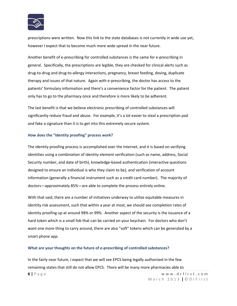

prescriptions were written. Now this link to the state databases is not currently in wide use yet, however I expect that to become much more wide spread in the near future.

Another benefit of e-prescribing for controlled substances is the same for e-prescribing in general. Specifically, the prescriptions are legible, they are checked for clinical alerts such as drug-to-drug and drug-to-allergy interactions, pregnancy, breast feeding, dosing, duplicate therapy and issues of that nature. Again with e-prescribing, the doctor has access to the patients' formulary information and there's a convenience factor for the patient. The patient only has to go to the pharmacy once and therefore is more likely to be adherent.

The last benefit is that we believe electronic prescribing of controlled substances will significantly reduce fraud and abuse. For example, it's a lot easier to steal a prescription pad and fake a signature than it is to get into this extremely secure system.

#### **How does the "identity proofing" process work?**

The identity proofing process is accomplished over the Internet, and it is based on verifying identities using a combination of identity element verification (such as name, address, Social Security number, and date of birth), knowledge-based authentication (interactive questions designed to ensure an individual is who they claim to be), and verification of account information (generally a financial instrument such as a credit card number). The majority of doctors—approximately 85%—are able to complete the process entirely online.

With that said, there are a number of initiatives underway to utilize equitable measures in identity risk assessment, such that within a year at most, we should see completion rates of identity proofing up at around 98% or 99%. Another aspect of the security is the issuance of a hard token which is a small fob that can be carried on your keychain. For doctors who don't want one more thing to carry around, there are also "soft" tokens which can be generated by a smart phone app.

#### **What are your thoughts on the future of e-prescribing of controlled substances?**

**6 |** P a g e **w w w . d r f i r s t . c o m** In the fairly near future, I expect that we will see EPCS being legally authorized in the few remaining states that still do not allow EPCS. There will be many more pharmacies able to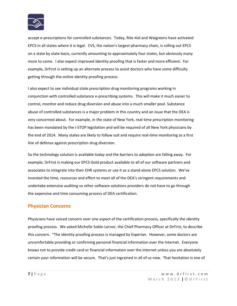

accept e-prescriptions for controlled substances. Today, Rite-Aid and Walgreens have activated EPCS in all states where it is legal. CVS, the nation's largest pharmacy chain, is rolling out EPCS on a state by state basis, currently amounting to approximately four states, but obviously many more to come. I also expect improved identity proofing that is faster and more efficient. For example, DrFirst is setting up an alternate process to assist doctors who have some difficulty getting through the online identity proofing process.

I also expect to see individual state prescription drug monitoring programs working in conjunction with controlled substance e-prescribing systems. This will make it much easier to control, monitor and reduce drug diversion and abuse into a much smaller pool. Substance abuse of controlled substances is a major problem in this country and an issue that the DEA is very concerned about. For example, in the state of New York, real-time prescription monitoring has been mandated by the I-STOP legislation and will be required of all New York physicians by the end of 2014. Many states are likely to follow suit and require real-time monitoring as a first line of defense against prescription drug diversion.

So the technology solution is available today and the barriers to adoption are falling away. For example, DrFirst is making our EPCS Gold product available to all of our software partners and associates to integrate into their EHR systems or use it as a stand-alone EPCS solution. We've invested the time, resources and effort to meet all of the DEA's stringent requirements and undertake extensive auditing so other software solutions providers do not have to go through the expensive and time consuming process of DEA certification.

## **Physician Concerns**

Physicians have voiced concern over one aspect of the certification process, specifically the identity proofing process. We asked Michelle Soble-Lernor, the Chief Pharmacy Officer at DrFirst, to describe this concern. "The identity proofing process is managed by Experian. However, some doctors are uncomfortable providing or confirming personal financial information over the Internet. Everyone knows not to provide credit card or financial information over the Internet unless you are absolutely certain your information will be secure. That's just ingrained in all of us now. That hesitation is one of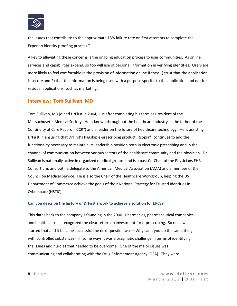

the issues that contribute to the approximate 15% failure rate on first attempts to complete the Experian identity proofing process."

A key to alleviating these concerns is the ongoing education process to user communities. As online services and capabilities expand, so too will use of personal information in verifying identities. Users are more likely to feel comfortable in the provision of information online if they 1) trust that the application is secure and 2) that the information is being used with a purpose specific to the application and not for residual applications, such as marketing.

## **Interview: Tom Sullivan, MD**

Tom Sullivan, MD joined DrFirst in 2004, just after completing his term as President of the Massachusetts Medical Society. He is known throughout the healthcare industry as the father of the Continuity of Care Record ("CCR") and a leader on the future of healthcare technology. He is assisting DrFirst in ensuring that DrFirst's flagship e-prescribing product, Rcopia®, continues to add the functionality necessary to maintain its leadership position both in electronic prescribing and in the channel of communication between various sectors of the healthcare community and the physician. Dr. Sullivan is nationally active in organized medical groups, and is a past Co-Chair of the Physicians EHR Consortium, and both a delegate to the American Medical Association (AMA) and a member of their Council on Medical Service. He is also the Chair of the Healthcare Workgroup, helping the US Department of Commerce achieve the goals of their National Strategy for Trusted Identities in Cyberspace (NSTIC).

#### **Can you describe the history of DrFirst's work to achieve a solution for EPCS?**

This dates back to the company's founding in the 2000. Pharmacies, pharmaceutical companies and health plans all recognized the clear return on investment for e-prescribing. So once we started that and it became successful the next question was – Why can't you do the same thing with controlled substances? In some ways it was a pragmatic challenge in terms of identifying the issues and hurdles that needed to be overcome. One of the major issues was communicating and collaborating with the Drug Enforcement Agency (DEA). They were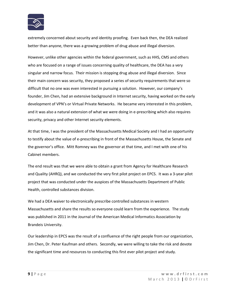

extremely concerned about security and identity proofing. Even back then, the DEA realized better than anyone, there was a growing problem of drug abuse and illegal diversion.

However, unlike other agencies within the federal government, such as HHS, CMS and others who are focused on a range of issues concerning quality of healthcare, the DEA has a very singular and narrow focus. Their mission is stopping drug abuse and illegal diversion. Since their main concern was security, they proposed a series of security requirements that were so difficult that no one was even interested in pursuing a solution. However, our company's founder, Jim Chen, had an extensive background in Internet security, having worked on the early development of VPN's or Virtual Private Networks. He became very interested in this problem, and it was also a natural extension of what we were doing in e-prescribing which also requires security, privacy and other Internet security elements.

At that time, I was the president of the Massachusetts Medical Society and I had an opportunity to testify about the value of e-prescribing in front of the Massachusetts House, the Senate and the governor's office. Mitt Romney was the governor at that time, and I met with one of his Cabinet members.

The end result was that we were able to obtain a grant from Agency for Healthcare Research and Quality (AHRQ), and we conducted the very first pilot project on EPCS. It was a 3-year pilot project that was conducted under the auspices of the Massachusetts Department of Public Health, controlled substances division.

We had a DEA waiver to electronically prescribe controlled substances in western Massachusetts and share the results so everyone could learn from the experience. The study was published in 2011 in the Journal of the American Medical Informatics Association by Brandeis University.

Our leadership in EPCS was the result of a confluence of the right people from our organization, Jim Chen, Dr. Peter Kaufman and others. Secondly, we were willing to take the risk and devote the significant time and resources to conducting this first ever pilot project and study.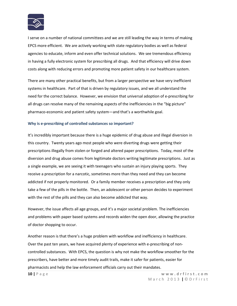

I serve on a number of national committees and we are still leading the way in terms of making EPCS more efficient. We are actively working with state regulatory bodies as well as federal agencies to educate, inform and even offer technical solutions. We see tremendous efficiency in having a fully electronic system for prescribing all drugs. And that efficiency will drive down costs along with reducing errors and promoting more patient safety in our healthcare system.

There are many other practical benefits, but from a larger perspective we have very inefficient systems in healthcare. Part of that is driven by regulatory issues, and we all understand the need for the correct balance. However, we envision that universal adoption of e-prescribing for all drugs can resolve many of the remaining aspects of the inefficiencies in the "big picture" pharmaco-economic and patient safety system—and that's a worthwhile goal.

#### **Why is e-prescribing of controlled substances so important?**

It's incredibly important because there is a huge epidemic of drug abuse and illegal diversion in this country. Twenty years ago most people who were diverting drugs were getting their prescriptions illegally from stolen or forged and altered paper prescriptions. Today, most of the diversion and drug abuse comes from legitimate doctors writing legitimate prescriptions. Just as a single example, we are seeing it with teenagers who sustain an injury playing sports. They receive a prescription for a narcotic, sometimes more than they need and they can become addicted if not properly monitored. Or a family member receives a prescription and they only take a few of the pills in the bottle. Then, an adolescent or other person decides to experiment with the rest of the pills and they can also become addicted that way.

However, the issue affects all age groups, and it's a major societal problem. The inefficiencies and problems with paper based systems and records widen the open door, allowing the practice of doctor shopping to occur.

Another reason is that there's a huge problem with workflow and inefficiency in healthcare. Over the past ten years, we have acquired plenty of experience with e-prescribing of noncontrolled substances. With EPCS, the question is why not make the workflow smoother for the prescribers, have better and more timely audit trails, make it safer for patients, easier for pharmacists and help the law enforcement officials carry out their mandates.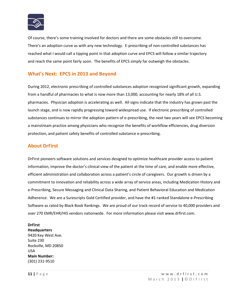

Of course, there's some training involved for doctors and there are some obstacles still to overcome. There's an adoption curve as with any new technology. E-prescribing of non-controlled substances has reached what I would call a tipping point in that adoption curve and EPCS will follow a similar trajectory and reach the same point fairly soon. The benefits of EPCS simply far outweigh the obstacles.

## **What's Next: EPCS in 2013 and Beyond**

During 2012, electronic prescribing of controlled substances adoption recognized significant growth, expanding from a handful of pharmacies to what is now more than 13,000, accounting for nearly 18% of all U.S. pharmacies. Physician adoption is accelerating as well. All signs indicate that the industry has grown past the launch stage, and is now rapidly progressing toward widespread use. If electronic prescribing of controlled substances continues to mirror the adoption pattern of e-prescribing, the next two years will see EPCS becoming a mainstream practice among physicians who recognize the benefits of workflow efficiencies, drug diversion protection, and patient safety benefits of controlled substance e-prescribing.

## **About DrFirst**

DrFirst pioneers software solutions and services designed to optimize healthcare provider access to patient information, improve the doctor's clinical view of the patient at the time of care, and enable more effective, efficient administration and collaboration across a patient's circle of caregivers. Our growth is driven by a commitment to innovation and reliability across a wide array of service areas, including Medication History and e-Prescribing, Secure Messaging and Clinical Data Sharing, and Patient Behavioral Education and Medication Adherence. We are a Surescripts Gold Certified provider, and have the #1-ranked Standalone e-Prescribing Software as rated by Black Book Rankings. We are proud of our track record of service to 40,000 providers and over 270 EMR/EHR/HIS vendors nationwide. For more information please visit [www.drfirst.com.](http://www.drfirst.com/)

## **DrFirst**

**Headquarters** 9420 Key West Ave. Suite 230 Rockville, MD 20850 USA **Main Number:** (301) 231-9510